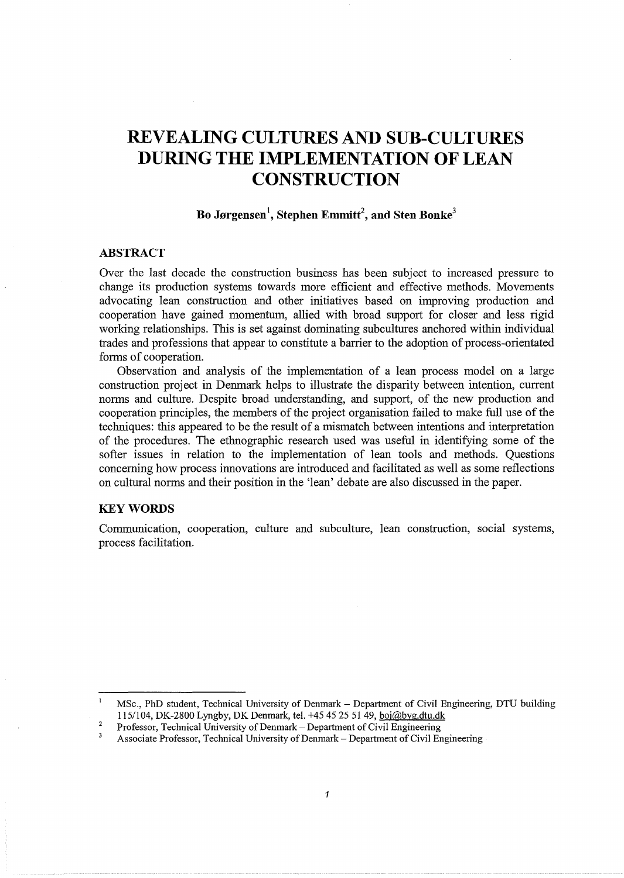# **REVEALING CULTURES AND SUB-CULTURES DURING THE IMPLEMENTATION OF LEAN CONSTRUCTION**

# **Bo Jorgensen\ Stephen Emmitt<sup>2</sup> , and Sten Bonke<sup>3</sup>**

#### **ABSTRACT**

Over the last decade the construction business has been subject to increased pressure to change its production systems towards more efficient and effective methods. Movements advocating lean construction and other initiatives based on improving production and cooperation have gained momentum, allied with broad support for closer and less rigid working relationships. This is set against dominating subcultures anchored within individual trades and professions that appear to constitute a barrier to the adoption of process-orientated forms of cooperation.

Observation and analysis of the implementation of a lean process model on a large construction project in Denmark helps to illustrate the disparity between intention, current norms and culture. Despite broad understanding, and support, of the new production and cooperation principles, the members of the project organisation failed to make full use of the techniques: this appeared to be the result of a mismatch between intentions and interpretation of the procedures. The ethnographic research used was useful in identifying some of the softer issues in relation to the implementation of lean tools and methods. Questions concerning how process innovations are introduced and facilitated as well as some reflections on cultural norms and their position in the 'lean' debate are also discussed in the paper.

## **KEYWORDS**

Communication, cooperation, culture and subculture, lean construction, social systems, process facilitation.

 $\mathbf{1}$ MSc., PhD student, Technical University of Denmark - Department of Civil Engineering, DTU building 1151104, DK-2800 Lyngby, DK Denmark, tel. +45 45 25 51 49, boj@byg.dtu.dk

<sup>2</sup>  Professor, Technical University of Denmark- Department of Civil Engineering

 $\overline{\mathbf{3}}$ Associate Professor, Technical University of Denmark- Department of Civil Engineering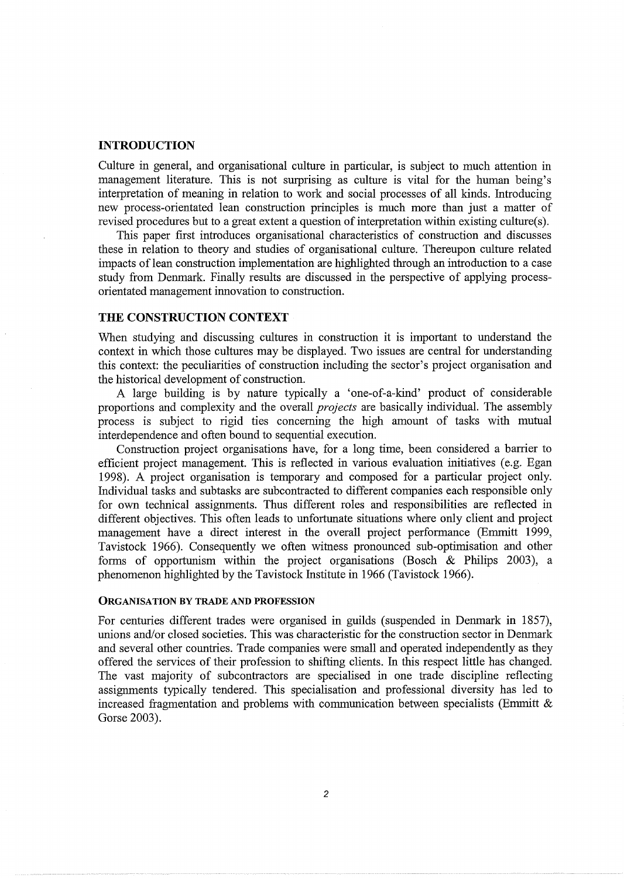## **INTRODUCTION**

Culture in general, and organisational culture in particular, is subject to much attention in management literature. This is not surprising as culture is vital for the human being's interpretation of meaning in relation to work and social processes of all kinds. Introducing new process-orientated lean construction principles is much more than just a matter of revised procedures but to a great extent a question of interpretation within existing culture(s).

This paper first introduces organisational characteristics of construction and discusses these in relation to theory and studies of organisational culture. Thereupon culture related impacts of lean construction implementation are highlighted through an introduction to a case study from Denmark. Finally results are discussed in the perspective of applying processorientated management innovation to construction.

## **THE CONSTRUCTION CONTEXT**

When studying and discussing cultures in construction it is important to understand the context in which those cultures may be displayed. Two issues are central for understanding this context: the peculiarities of construction including the sector's project organisation and the historical development of construction.

A large building is by nature typically a 'one-of-a-kind' product of considerable proportions and complexity and the overall *projects* are basically individual. The assembly process is subject to rigid ties concerning the high amount of tasks with mutual interdependence and often bound to sequential execution.

Construction project organisations have, for a long time, been considered a barrier to efficient project management. This is reflected in various evaluation initiatives (e.g. Egan 1998). A project organisation is temporary and composed for a particular project only. Individual tasks and subtasks are subcontracted to different companies each responsible only for own technical assignments. Thus different roles and responsibilities are reflected in different objectives. This often leads to unfortunate situations where only client and project management have a direct interest in the overall project performance (Emmitt 1999, Tavistock 1966). Consequently we often witness pronounced sub-optimisation and other forms of opportunism within the project organisations (Bosch & Philips 2003), a phenomenon highlighted by the Tavistock Institute in 1966 (Tavistock 1966).

#### ORGANISATION BY TRADE AND PROFESSION

For centuries different trades were organised in guilds (suspended in Denmark in 1857), unions and/or closed societies. This was characteristic for the construction sector in Denmark and several other countries. Trade companies were small and operated independently as they offered the services of their profession to shifting clients. In this respect little has changed. The vast majority of subcontractors are specialised in one trade discipline reflecting assignments typically tendered. This specialisation and professional diversity has led to increased fragmentation and problems with communication between specialists (Emmitt  $\&$ Gorse 2003).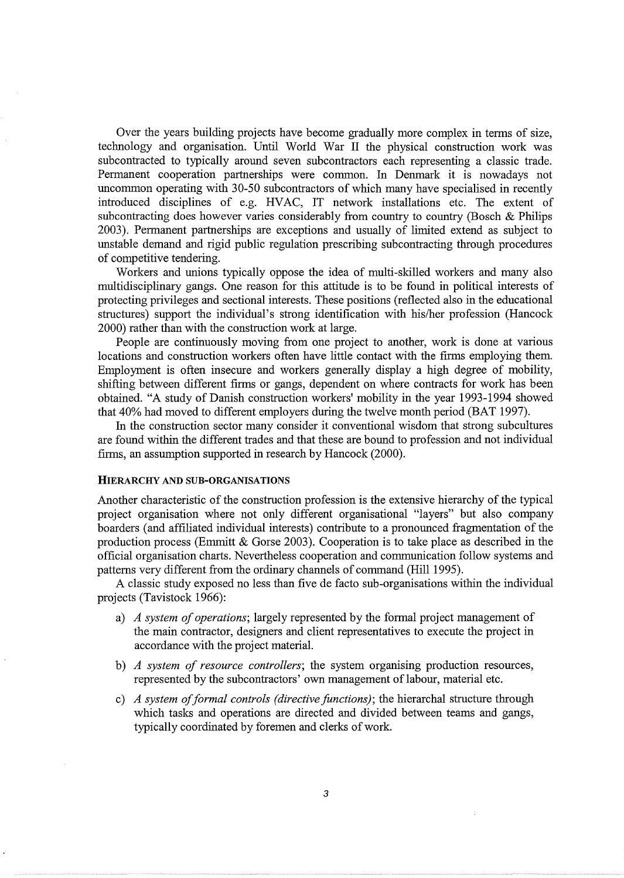Over the years building projects have become gradually more complex in terms of size, technology and organisation. Until World War II the physical construction work was subcontracted to typically around seven subcontractors each representing a classic trade. Permanent cooperation partnerships were common. In Denmark it is nowadays not uncommon operating with 30-50 subcontractors of which many have specialised in recently introduced disciplines of e.g. HV AC, IT network installations etc. The extent of subcontracting does however varies considerably from country to country (Bosch & Philips 2003). Permanent partnerships are exceptions and usually of limited extend as subject to unstable demand and rigid public regulation prescribing subcontracting through procedures of competitive tendering.

Workers and unions typically oppose the idea of multi-skilled workers and many also multidisciplinary gangs. One reason for this attitude is to be found in political interests of protecting privileges and sectional interests. These positions (reflected also in the educational structures) support the individual's strong identification with his/her profession (Hancock 2000) rather than with the construction work at large.

People are continuously moving from one project to another, work is done at various locations and construction workers often have little contact with the firms employing them. Employment is often insecure and workers generally display a high degree of mobility, shifting between different firms or gangs, dependent on where contracts for work has been obtained. "A study of Danish construction workers' mobility in the year 1993-1994 showed that 40% had moved to different employers during the twelve month period (BAT 1997).

In the construction sector many consider it conventional wisdom that strong subcultures are found within the different trades and that these are bound to profession and not individual firms, an assumption supported in research by Hancock (2000).

#### HIERARCHY AND SUB-ORGANISATIONS

Another characteristic of the construction profession is the extensive hierarchy of the typical project organisation where not only different organisational "layers" but also company boarders (and affiliated individual interests) contribute to a pronounced fragmentation of the production process (Emmitt & Gorse 2003). Cooperation is to take place as described in the official organisation charts. Nevertheless cooperation and communication follow systems and patterns very different from the ordinary channels of command (Hill 1995).

A classic study exposed no less than five de facto sub-organisations within the individual projects (Tavistock 1966):

- a) *A system of operations;* largely represented by the formal project management of the main contractor, designers and client representatives to execute the project in accordance with the project material.
- b) *A system of resource controllers;* the system organising production resources, represented by the subcontractors' own management of labour, material etc.
- c) *A system offormal controls (directive functions);* the hierarchal structure through which tasks and operations are directed and divided between teams and gangs, typically coordinated by foremen and clerks of work.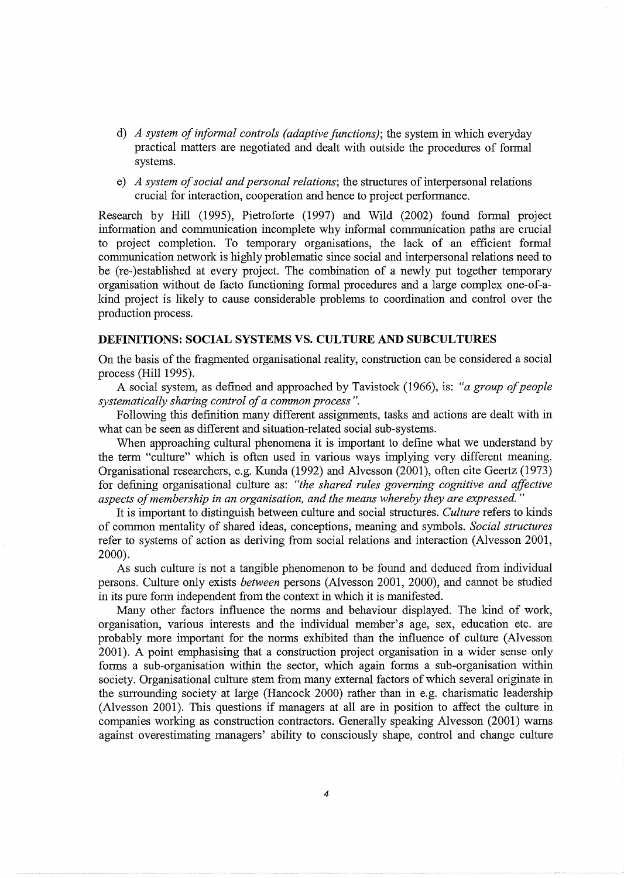- d) *A system of informal controls (adaptive functions);* the system in which everyday practical matters are negotiated and dealt with outside the procedures of formal systems.
- e) *A system of social and personal relations;* the structures of interpersonal relations crucial for interaction, cooperation and hence to project performance.

Research by Hill (1995), Pietroforte (1997) and Wild (2002) found formal project information and communication incomplete why informal communication paths are crucial to project completion. To temporary organisations, the lack of an efficient formal communication network is highly problematic since social and interpersonal relations need to be (re-)established at every project. The combination of a newly put together temporary organisation without de facto functioning formal procedures and a large complex one-of-akind project is likely to cause considerable problems to coordination and control over the production process.

## **DEFINITIONS: SOCIAL SYSTEMS** VS. **CULTURE AND SUBCULTURES**

On the basis of the fragmented organisational reality, construction can be considered a social process (Hill 1995).

A social system, as defined and approached by Tavistock (1966), is: *"a group of people systematically sharing control of a common process".* 

Following this definition many different assignments, tasks and actions are dealt with in what can be seen as different and situation-related social sub-systems.

When approaching cultural phenomena it is important to define what we understand by the term "culture" which is often used in various ways implying very different meaning. Organisational researchers, e.g. Kunda (1992) and Alvesson (2001), often cite Geertz (1973) for defining organisational culture as: *"the shared rules governing cognitive and affective aspects of membership in an organisation, and the means whereby they are expressed."* 

It is important to distinguish between culture and social structures. *Culture* refers to kinds of common mentality of shared ideas, conceptions, meaning and symbols. *Social structures*  refer to systems of action as deriving from social relations and interaction (Alvesson 2001, 2000).

As such culture is not a tangible phenomenon to be found and deduced from individual persons. Culture only exists *between* persons (Alvesson 2001, 2000), and cannot be studied in its pure form independent from the context in which it is manifested.

Many other factors influence the norms and behaviour displayed. The kind of work, organisation, various interests and the individual member's age, sex, education etc. are probably more important for the norms exhibited than the influence of culture (Alvesson 2001). A point emphasising that a construction project organisation in a wider sense only forms a sub-organisation within the sector, which again forms a sub-organisation within society. Organisational culture stem from many external factors of which several originate in the surrounding society at large (Hancock 2000) rather than in e.g. charismatic leadership (Alvesson 2001). This questions if managers at all are in position to affect the culture in companies working as construction contractors. Generally speaking Alvesson (2001) warns against overestimating managers' ability to consciously shape, control and change culture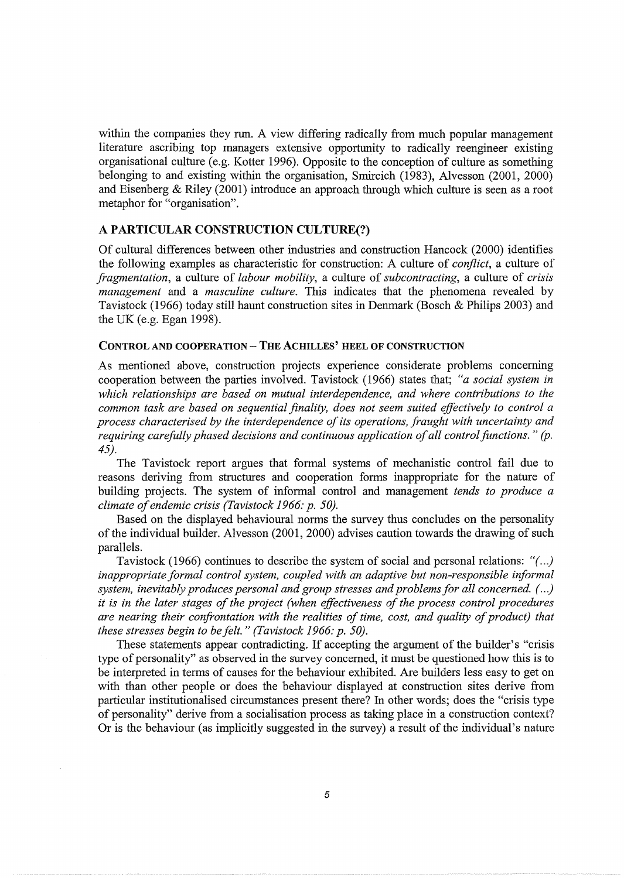within the companies they run. A view differing radically from much popular management literature ascribing top managers extensive opportunity to radically reengineer existing organisational culture (e.g. Kotter 1996). Opposite to the conception of culture as something belonging to and existing within the organisation, Smircich (1983), Alvesson (2001, 2000) and Eisenberg & Riley (2001) introduce an approach through which culture is seen as a root metaphor for "organisation".

## A PARTICULAR CONSTRUCTION CULTURE(?)

Of cultural differences between other industries and construction Hancock (2000) identifies the following examples as characteristic for construction: A culture of *conflict,* a culture of *fragmentation,* a culture of *labour mobility,* a culture of *subcontracting,* a culture of *crisis management* and a *masculine culture.* This indicates that the phenomena revealed by Tavistock (1966) today still haunt construction sites in Denmark (Bosch & Philips 2003) and the UK (e.g. Egan 1998).

## CONTROL AND COOPERATION- THE ACHILLES' HEEL OF CONSTRUCTION

As mentioned above, construction projects experience considerate problems concerning cooperation between the parties involved. Tavistock (1966) states that; *"a social system in which relationships are based on mutual interdependence, and where contributions to the common task are based on sequential finality, does not seem suited effectively to control a process characterised by the interdependence of its operations, fraught with uncertainty and requiring carefully phased decisions and continuous application of all control functions.* " *(p. 45).* 

The Tavistock report argues that formal systems of mechanistic control fail due to reasons deriving from structures and cooperation forms inappropriate for the nature of building projects. The system of informal control and management *tends to produce a climate of endemic crisis (Tavistock 1966: p. 50).* 

Based on the displayed behavioural norms the survey thus concludes on the personality of the individual builder. Alvesson (2001, 2000) advises caution towards the drawing of such parallels.

Tavistock (1966) continues to describe the system of social and personal relations: *"(. . .) inappropriate formal control system, coupled with an adaptive but non-responsible informal system, inevitably produces personal and group stresses and problems for all concerned. (. . .) it is in the later stages of the project (when effectiveness of the process control procedures are nearing their confrontation with the realities of time, cost, and quality of product) that these stresses begin to be felt.* " *(Tavistock 1966: p. 50).* 

These statements appear contradicting. If accepting the argument of the builder's "crisis type of personality" as observed in the survey concerned, it must be questioned how this is to be interpreted in terms of causes for the behaviour exhibited. Are builders less easy to get on with than other people or does the behaviour displayed at construction sites derive from particular institutionalised circumstances present there? In other words; does the "crisis type of personality" derive from a socialisation process as taking place in a construction context? Or is the behaviour (as implicitly suggested in the survey) a result of the individual's nature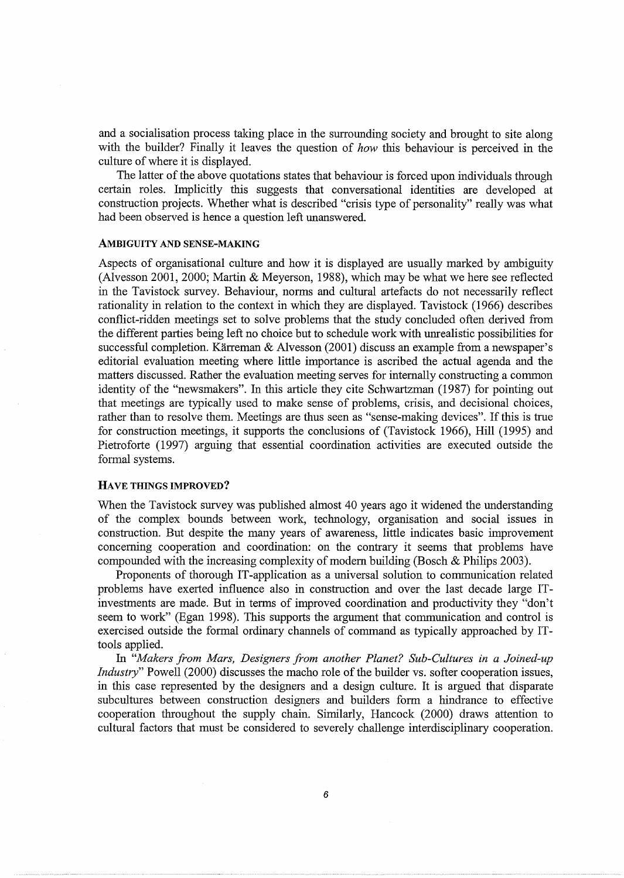and a socialisation process taking place in the surrounding society and brought to site along with the builder? Finally it leaves the question of *how* this behaviour is perceived in the culture of where it is displayed.

The latter of the above quotations states that behaviour is forced upon individuals through certain roles. Implicitly this suggests that conversational identities are developed at construction projects. Whether what is described "crisis type of personality" really was what had been observed is hence a question left unanswered.

#### AMBIGUITY AND SENSE-MAKING

Aspects of organisational culture and how it is displayed are usually marked by ambiguity (Alvesson 2001, 2000; Martin & Meyerson, 1988), which may be what we here see reflected in the Tavistock survey. Behaviour, norms and cultural artefacts do not necessarily reflect rationality in relation to the context in which they are displayed. Tavistock (1966) describes conflict-ridden meetings set to solve problems that the study concluded often derived from the different parties being left no choice but to schedule work with unrealistic possibilities for successful completion. Kärreman & Alvesson (2001) discuss an example from a newspaper's editorial evaluation meeting where little importance is ascribed the actual agenda and the matters discussed. Rather the evaluation meeting serves for internally constructing a common identity of the "newsmakers". In this article they cite Schwartzman (1987) for pointing out that meetings are typically used to make sense of problems, crisis, and decisional choices, rather than to resolve them. Meetings are thus seen as "sense-making devices". If this is true for construction meetings, it supports the conclusions of (Tavistock 1966), Hill (1995) and Pietroforte (1997) arguing that essential coordination activities are executed outside the formal systems.

#### HAVE THINGS IMPROVED?

When the Tavistock survey was published almost 40 years ago it widened the understanding of the complex bounds between work, technology, organisation and social issues in construction. But despite the many years of awareness, little indicates basic improvement concerning cooperation and coordination: on the contrary it seems that problems have compounded with the increasing complexity of modem building (Bosch & Philips 2003).

Proponents of thorough IT -application as a universal solution to communication related problems have exerted influence also in construction and over the last decade large ITinvestments are made. But in terms of improved coordination and productivity they "don't seem to work" (Egan 1998). This supports the argument that communication and control is exercised outside the formal ordinary channels of command as typically approached by ITtools applied.

In *"Makers from Mars, Designers from another Planet? Sub-Cultures in a Joined-up Industry*" Powell (2000) discusses the macho role of the builder vs. softer cooperation issues, in this case represented by the designers and a design culture. It is argued that disparate subcultures between construction designers and builders form a hindrance to effective cooperation throughout the supply chain. Similarly, Hancock (2000) draws attention to cultural factors that must be considered to severely challenge interdisciplinary cooperation.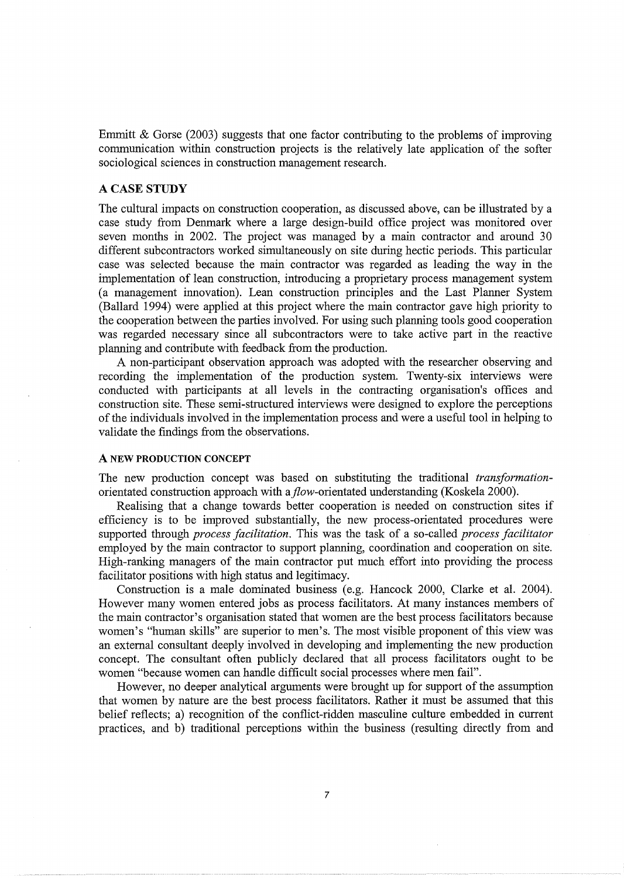Emmitt & Gorse (2003) suggests that one factor contributing to the problems of improving communication within construction projects is the relatively late application of the softer sociological sciences in construction management research.

## A CASE STUDY

The cultural impacts on construction cooperation, as discussed above, can be illustrated by a case study from Denmark where a large design-build office project was monitored over seven months in 2002. The project was managed by a main contractor and around 30 different subcontractors worked simultaneously on site during hectic periods. This particular case was selected because the main contractor was regarded as leading the way in the implementation of lean construction, introducing a proprietary process management system (a management innovation). Lean construction principles and the Last Planner System (Ballard 1994) were applied at this project where the main contractor gave high priority to the cooperation between the parties involved. For using such planning tools good cooperation was regarded necessary since all subcontractors were to take active part in the reactive planning and contribute with feedback from the production.

A non-participant observation approach was adopted with the researcher observing and recording the implementation of the production system. Twenty-six interviews were conducted with participants at all levels in the contracting organisation's offices and construction site. These semi-structured interviews were designed to explore the perceptions of the individuals involved in the implementation process and were a useful tool in helping to validate the findings from the observations.

## A NEW PRODUCTION CONCEPT

The new production concept was based on substituting the traditional *transformation*orientated construction approach with a flow-orientated understanding (Koskela 2000).

Realising that a change towards better cooperation is needed on construction sites if efficiency is to be improved substantially, the new process-orientated procedures were supported through *process facilitation.* This was the task of a so-called *process facilitator*  employed by the main contractor to support planning, coordination and cooperation on site. High-ranking managers of the main contractor put much effort into providing the process facilitator positions with high status and legitimacy.

Construction is a male dominated business (e.g. Hancock 2000, Clarke et al. 2004). However many women entered jobs as process facilitators. At many instances members of the main contractor's organisation stated that women are the best process facilitators because women's "human skills" are superior to men's. The most visible proponent of this view was an external consultant deeply involved in developing and implementing the new production concept. The consultant often publicly declared that all process facilitators ought to be women "because women can handle difficult social processes where men fail".

However, no deeper analytical arguments were brought up for support of the assumption that women by nature are the best process facilitators. Rather it must be assumed that this belief reflects; a) recognition of the conflict-ridden masculine culture embedded in current practices, and b) traditional perceptions within the business (resulting directly from and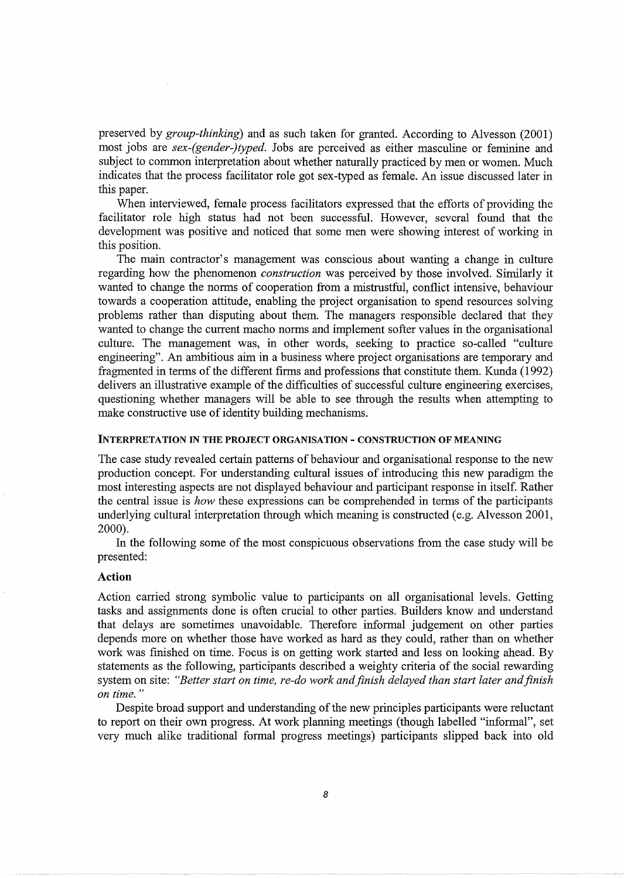preserved by *group-thinking)* and as such taken for granted. According to Alvesson (2001) most jobs are *sex-(gender-)typed.* Jobs are perceived as either masculine or feminine and subject to common interpretation about whether naturally practiced by men or women. Much indicates that the process facilitator role got sex-typed as female. An issue discussed later in this paper.

When interviewed, female process facilitators expressed that the efforts of providing the facilitator role high status had not been successful. However, several found that the development was positive and noticed that some men were showing interest of working in this position.

The main contractor's management was conscious about wanting a change in culture regarding how the phenomenon *construction* was perceived by those involved. Similarly it wanted to change the norms of cooperation from a mistrustful, conflict intensive, behaviour towards a cooperation attitude, enabling the project organisation to spend resources solving problems rather than disputing about them. The managers responsible declared that they wanted to change the current macho norms and implement softer values in the organisational culture. The management was, in other words, seeking to practice so-called "culture engineering". An ambitious aim in a business where project organisations are temporary and fragmented in terms of the different firms and professions that constitute them. Kunda ( 1992) delivers an illustrative example of the difficulties of successful culture engineering exercises, questioning whether managers will be able to see through the results when attempting to make constructive use of identity building mechanisms.

#### INTERPRETATION IN THE PROJECT ORGANISATION- CONSTRUCTION OF MEANING

The case study revealed certain patterns of behaviour and organisational response to the new production concept. For understanding cultural issues of introducing this new paradigm the most interesting aspects are not displayed behaviour and participant response in itself. Rather the central issue is *how* these expressions can be comprehended in terms of the participants underlying cultural interpretation through which meaning is constructed (e.g. Alvesson 2001, 2000).

In the following some of the most conspicuous observations from the case study will be presented:

## **Action**

Action carried strong symbolic value to participants on all organisational levels. Getting tasks and assignments done is often crucial to other parties. Builders know and understand that delays are sometimes unavoidable. Therefore informal judgement on other parties depends more on whether those have worked as hard as they could, rather than on whether work was finished on time. Focus is on getting work started and less on looking ahead. By statements as the following, participants described a weighty criteria of the social rewarding system on site: *"Better start on time, re-do work and finish delayed than start later and finish on time."* 

Despite broad support and understanding of the new principles participants were reluctant to report on their own progress. At work planning meetings (though labelled "informal", set very much alike traditional formal progress meetings) participants slipped back into old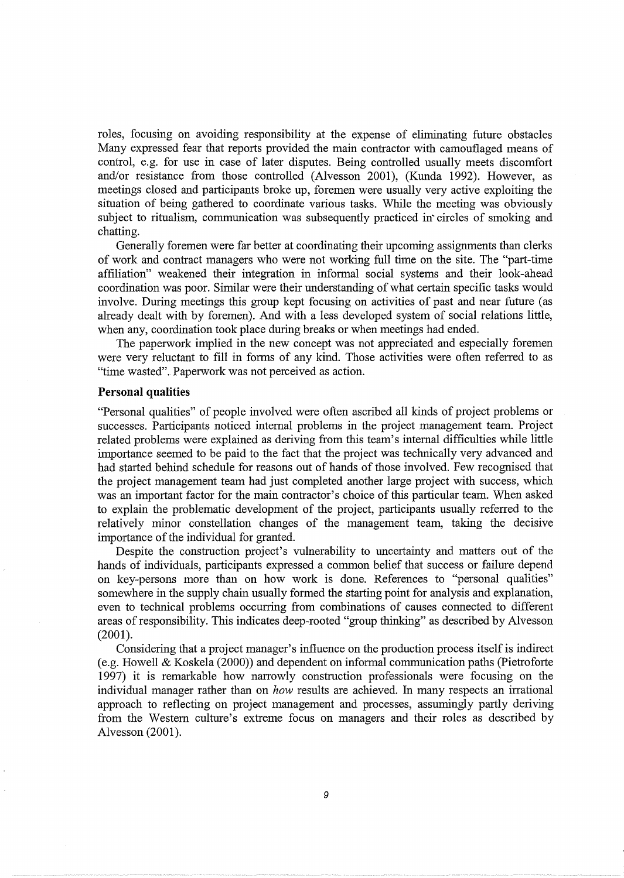roles, focusing on avoiding responsibility at the expense of eliminating future obstacles Many expressed fear that reports provided the main contractor with camouflaged means of control, e.g. for use in case of later disputes. Being controlled usually meets discomfort and/or resistance from those controlled (Alvesson 2001), (Kunda 1992). However, as meetings closed and participants broke up, foremen were usually very active exploiting the situation of being gathered to coordinate various tasks. While the meeting was obviously subject to ritualism, communication was subsequently practiced in' circles of smoking and chatting.

Generally foremen were far better at coordinating their upcoming assignments than clerks of work and contract managers who were not working full time on the site. The "part-time affiliation" weakened their integration in informal social systems and their look-ahead coordination was poor. Similar were their understanding of what certain specific tasks would involve. During meetings this group kept focusing on activities of past and near future (as already dealt with by foremen). And with a less developed system of social relations little, when any, coordination took place during breaks or when meetings had ended.

The paperwork implied in the new concept was not appreciated and especially foremen were very reluctant to fill in forms of any kind. Those activities were often referred to as "time wasted". Paperwork was not perceived as action.

#### **Personal qualities**

"Personal qualities" of people involved were often ascribed all kinds of project problems or successes. Participants noticed internal problems in the project management team. Project related problems were explained as deriving from this team's internal difficulties while little importance seemed to be paid to the fact that the project was technically very advanced and had started behind schedule for reasons out of hands of those involved. Few recognised that the project management team had just completed another large project with success, which was an important factor for the main contractor's choice of this particular team. When asked to explain the problematic development of the project, participants usually referred to the relatively minor constellation changes of the management team, taking the decisive importance of the individual for granted.

Despite the construction project's vulnerability to uncertainty and matters out of the hands of individuals, participants expressed a common belief that success or failure depend on key-persons more than on how work is done. References to "personal qualities" somewhere in the supply chain usually formed the starting point for analysis and explanation, even to technical problems occurring from combinations of causes connected to different areas of responsibility. This indicates deep-rooted "group thinking" as described by Alvesson (2001).

Considering that a project manager's influence on the production process itself is indirect (e.g. Howell & Koskela (2000)) and dependent on informal communication paths (Pietroforte 1997) it is remarkable how narrowly construction professionals were focusing on the individual manager rather than on *how* results are achieved. In many respects an irrational approach to reflecting on project management and processes, assurningly partly deriving from the Western culture's extreme focus on managers and their roles as described by Alvesson (2001).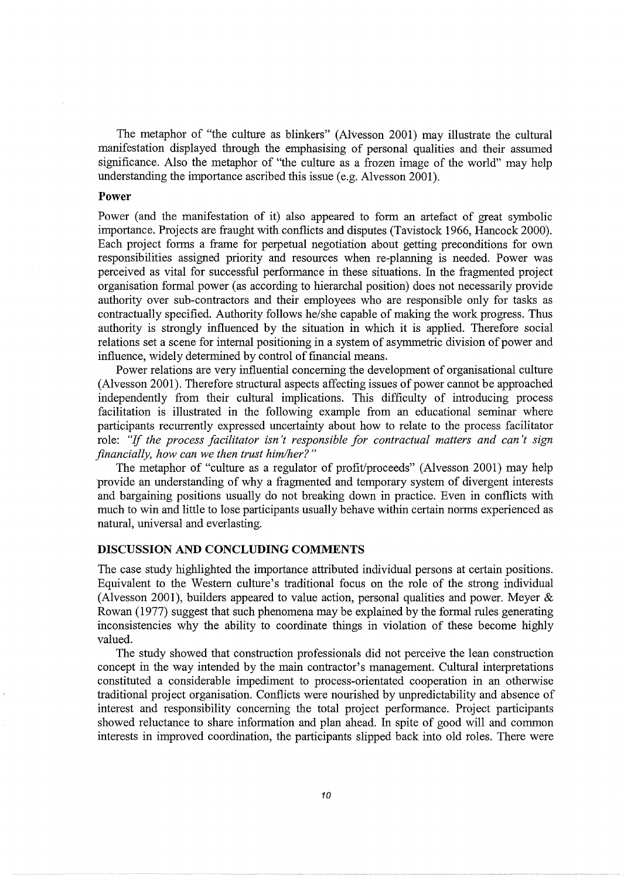The metaphor of "the culture as blinkers" (Alvesson 2001) may illustrate the cultural manifestation displayed through the emphasising of personal qualities and their assumed significance. Also the metaphor of "the culture as a frozen image of the world" may help understanding the importance ascribed this issue (e.g. Alvesson 2001).

#### **Power**

Power (and the manifestation of it) also appeared to form an artefact of great symbolic importance. Projects are fraught with conflicts and disputes (Tavistock 1966, Hancock 2000). Each project forms a frame for perpetual negotiation about getting preconditions for own responsibilities assigned priority and resources when re-planning is needed. Power was perceived as vital for successful performance in these situations. In the fragmented project organisation formal power (as according to hierarchal position) does not necessarily provide authority over sub-contractors and their employees who are responsible only for tasks as contractually specified. Authority follows he/she capable of making the work progress. Thus authority is strongly influenced by the situation in which it is applied. Therefore social relations set a scene for internal positioning in a system of asymmetric division of power and influence, widely determined by control of financial means.

Power relations are very influential concerning the development of organisational culture (Alvesson 2001). Therefore structural aspects affecting issues of power cannot be approached independently from their cultural implications. This difficulty of introducing process facilitation is illustrated in the following example from an educational seminar where participants recurrently expressed uncertainty about how to relate to the process facilitator role: "If *the process facilitator isn't responsible for contractual matters and can't sign financially, how can we then trust him/her?"* 

The metaphor of "culture as a regulator of profit/proceeds" (Alvesson 2001) may help provide an understanding of why a fragmented and temporary system of divergent interests and bargaining positions usually do not breaking down in practice. Even in conflicts with much to win and little to lose participants usually behave within certain norms experienced as natural, universal and everlasting.

## **DISCUSSION AND CONCLUDING COMMENTS**

The case study highlighted the importance attributed individual persons at certain positions. Equivalent to the Western culture's traditional focus on the role of the strong individual (Alvesson 2001), builders appeared to value action, personal qualities and power. Meyer & Rowan (1977) suggest that such phenomena may be explained by the formal rules generating inconsistencies why the ability to coordinate things in violation of these become highly valued.

The study showed that construction professionals did not perceive the lean construction concept in the way intended by the main contractor's management. Cultural interpretations constituted a considerable impediment to process-orientated cooperation in an otherwise traditional project organisation. Conflicts were nourished by unpredictability and absence of interest and responsibility concerning the total project performance. Project participants showed reluctance to share information and plan ahead. In spite of good will and common interests in improved coordination, the participants slipped back into old roles. There were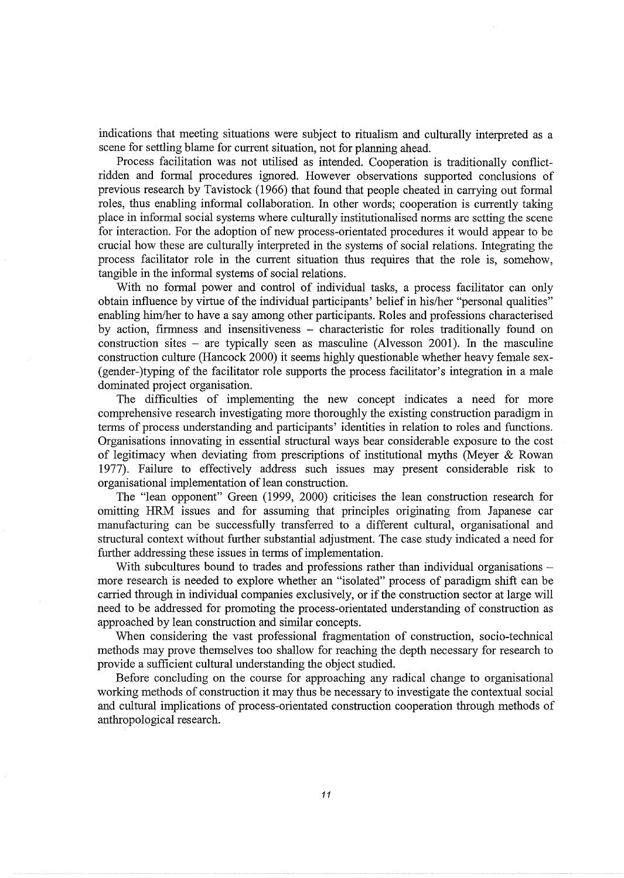indications that meeting situations were subject to ritualism and culturally interpreted as a scene for settling blame for current situation, not for planning ahead.

Process facilitation was not utilised as intended. Cooperation is traditionally conflictridden and formal procedures ignored. However observations supported conclusions of previous research by Tavistock (1966) that found that people cheated in carrying out formal roles, thus enabling informal collaboration. In other words; cooperation is currently taking place in informal social systems where culturally institutionalised norms are setting the scene for interaction. For the adoption of new process-orientated procedures it would appear to be crucial how these are culturally interpreted in the systems of social relations. Integrating the process facilitator role in the current situation thus requires that the role is, somehow, tangible in the informal systems of social relations.

With no formal power and control of individual tasks, a process facilitator can only obtain influence by virtue of the individual participants' belief in his/her "personal qualities" enabling him/her to have a say among other participants. Roles and professions characterised by action, firmness and insensitiveness - characteristic for roles traditionally found on construction sites – are typically seen as masculine (Alvesson 2001). In the masculine construction culture (Hancock 2000) it seems highly questionable whether heavy female sex- (gender-)typing of the facilitator role supports the process facilitator's integration in a male dominated project organisation.

The difficulties of implementing the new concept indicates a need for more comprehensive research investigating more thoroughly the existing construction paradigm in terms of process understanding and participants' identities in relation to roles and functions. Organisations innovating in essential structural ways bear considerable exposure to the cost of legitimacy when deviating from prescriptions of institutional myths (Meyer & Rowan 1977). Failure to effectively address such issues may present considerable risk to organisational implementation of lean construction.

The "lean opponent" Green (1999, 2000) criticises the lean construction research for omitting HRM issues and for assuming that principles originating from Japanese car manufacturing can be successfully transferred to a different cultural, organisational and structural context without further substantial adjustment. The case study indicated a need for further addressing these issues in terms of implementation.

With subcultures bound to trades and professions rather than individual organisations more research is needed to explore whether an "isolated" process of paradigm shift can be carried through in individual companies exclusively, or if the construction sector at large will need to be addressed for promoting the process-orientated understanding of construction as approached by lean construction and similar concepts.

When considering the vast professional fragmentation of construction, socio-technical methods may prove themselves too shallow for reaching the depth necessary for research to provide a sufficient cultural understanding the object studied.

Before concluding on the course for approaching any radical change to organisational working methods of construction it may thus be necessary to investigate the contextual social and cultural implications of process-orientated construction cooperation through methods of anthropological research.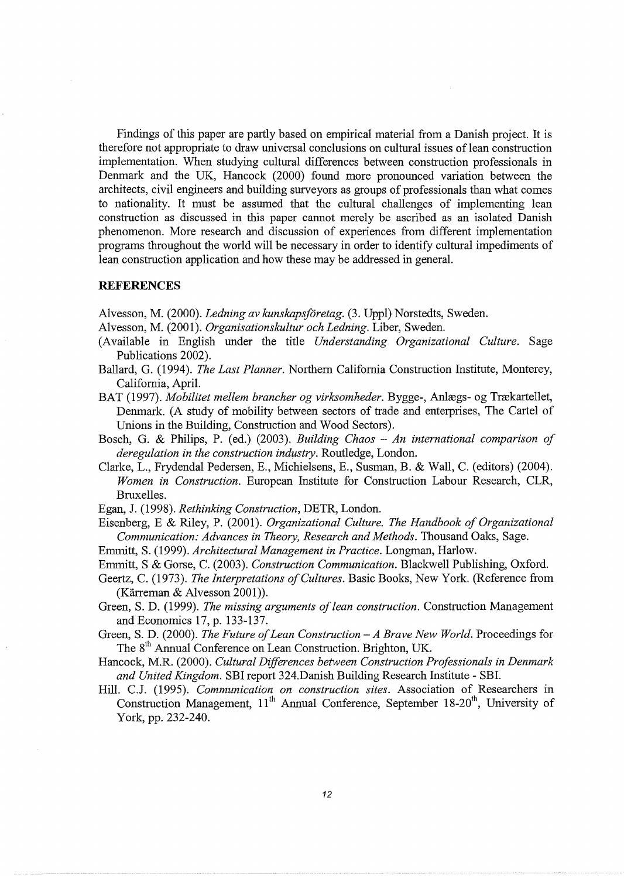Findings of this paper are partly based on empirical material from a Danish project. It is therefore not appropriate to draw universal conclusions on cultural issues of lean construction implementation. When studying cultural differences between construction professionals in Denmark and the UK, Hancock (2000) found more pronounced variation between the architects, civil engineers and building surveyors as groups of professionals than what comes to nationality. It must be assumed that the cultural challenges of implementing lean construction as discussed in this paper cannot merely be ascribed as an isolated Danish phenomenon. More research and discussion of experiences from different implementation programs throughout the world will be necessary in order to identify cultural impediments of lean construction application and how these may be addressed in general.

#### **REFERENCES**

Alvesson, M. (2000). *Ledning av kunskapsforetag.* (3. Uppl) Norstedts, Sweden.

- Alvesson, M. (2001). *Organisationskultur och Ledning.* Liber, Sweden.
- (Available in English under the title *Understanding Organizational Culture.* Sage Publications 2002).
- Ballard, G. (1994). *The Last Planner.* Northern California Construction Institute, Monterey, California, April.
- BAT (1997). Mobilitet mellem brancher og virksomheder. Bygge-, Anlægs- og Trækartellet, Denmark. (A study of mobility between sectors of trade and enterprises, The Cartel of Unions in the Building, Construction and Wood Sectors).
- Bosch, G. & Philips, P. (ed.) (2003). *Building Chaos An international comparison of deregulation in the construction industry.* Routledge, London.
- Clarke, L., Frydendal Pedersen, E., Michielsens, E., Susman, B. & Wall, C. (editors) (2004). *Women in Construction.* European Institute for Construction Labour Research, CLR, Bruxelles.

Egan, J. (1998). *Rethinking Construction,* DETR, London.

Eisenberg, E & Riley, P. (2001). *Organizational Culture. The Handbook of Organizational Communication: Advances in Theory, Research and Methods.* Thousand Oaks, Sage.

Emmitt, S. (1999). *Architectural Management in Practice.* Longman, Harlow.

Emmitt, S & Gorse, C. (2003). *Construction Communication.* Blackwell Publishing, Oxford.

Geertz, C. (1973). *The Interpretations of Cultures.* Basic Books, New York. (Reference from (Karreman & Alvesson 2001)).

Green, S.D. (1999). *The missing arguments of lean construction.* Construction Management and Economics 17, p. 133-137.

Green, S. D. (2000). *The Future of Lean Construction- A Brave New World.* Proceedings for The 8<sup>th</sup> Annual Conference on Lean Construction. Brighton, UK.

Hancock, M.R. (2000). *Cultural Differences between Construction Professionals in Denmark and United Kingdom.* SBI report 324.Danish Building Research Institute - SBI.

Hill. C.J. (1995). *Communication on construction sites.* Association of Researchers in Construction Management, 11<sup>th</sup> Annual Conference, September 18-20<sup>th</sup>, University of York, pp. 232-240.